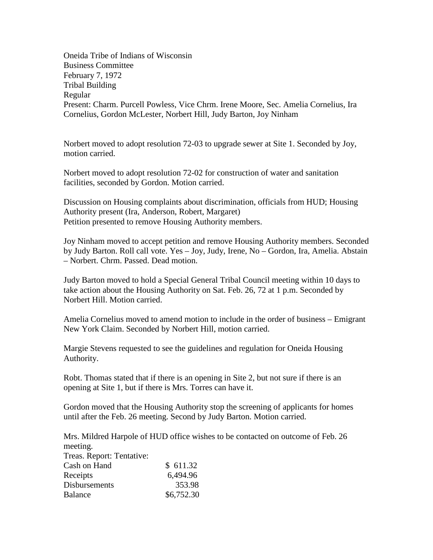Oneida Tribe of Indians of Wisconsin Business Committee February 7, 1972 Tribal Building Regular Present: Charm. Purcell Powless, Vice Chrm. Irene Moore, Sec. Amelia Cornelius, Ira Cornelius, Gordon McLester, Norbert Hill, Judy Barton, Joy Ninham

Norbert moved to adopt resolution 72-03 to upgrade sewer at Site 1. Seconded by Joy, motion carried.

Norbert moved to adopt resolution 72-02 for construction of water and sanitation facilities, seconded by Gordon. Motion carried.

Discussion on Housing complaints about discrimination, officials from HUD; Housing Authority present (Ira, Anderson, Robert, Margaret) Petition presented to remove Housing Authority members.

Joy Ninham moved to accept petition and remove Housing Authority members. Seconded by Judy Barton. Roll call vote. Yes – Joy, Judy, Irene, No – Gordon, Ira, Amelia. Abstain – Norbert. Chrm. Passed. Dead motion.

Judy Barton moved to hold a Special General Tribal Council meeting within 10 days to take action about the Housing Authority on Sat. Feb. 26, 72 at 1 p.m. Seconded by Norbert Hill. Motion carried.

Amelia Cornelius moved to amend motion to include in the order of business – Emigrant New York Claim. Seconded by Norbert Hill, motion carried.

Margie Stevens requested to see the guidelines and regulation for Oneida Housing Authority.

Robt. Thomas stated that if there is an opening in Site 2, but not sure if there is an opening at Site 1, but if there is Mrs. Torres can have it.

Gordon moved that the Housing Authority stop the screening of applicants for homes until after the Feb. 26 meeting. Second by Judy Barton. Motion carried.

Mrs. Mildred Harpole of HUD office wishes to be contacted on outcome of Feb. 26 meeting.

| Treas. Report: Tentative: |            |
|---------------------------|------------|
| Cash on Hand              | \$611.32   |
| Receipts                  | 6,494.96   |
| <b>Disbursements</b>      | 353.98     |
| <b>Balance</b>            | \$6,752.30 |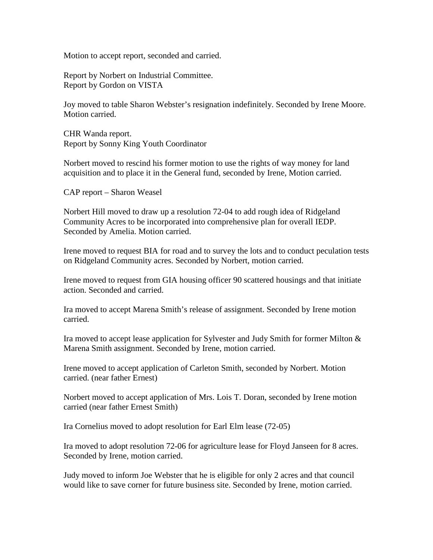Motion to accept report, seconded and carried.

Report by Norbert on Industrial Committee. Report by Gordon on VISTA

Joy moved to table Sharon Webster's resignation indefinitely. Seconded by Irene Moore. Motion carried.

CHR Wanda report. Report by Sonny King Youth Coordinator

Norbert moved to rescind his former motion to use the rights of way money for land acquisition and to place it in the General fund, seconded by Irene, Motion carried.

CAP report – Sharon Weasel

Norbert Hill moved to draw up a resolution 72-04 to add rough idea of Ridgeland Community Acres to be incorporated into comprehensive plan for overall IEDP. Seconded by Amelia. Motion carried.

Irene moved to request BIA for road and to survey the lots and to conduct peculation tests on Ridgeland Community acres. Seconded by Norbert, motion carried.

Irene moved to request from GIA housing officer 90 scattered housings and that initiate action. Seconded and carried.

Ira moved to accept Marena Smith's release of assignment. Seconded by Irene motion carried.

Ira moved to accept lease application for Sylvester and Judy Smith for former Milton & Marena Smith assignment. Seconded by Irene, motion carried.

Irene moved to accept application of Carleton Smith, seconded by Norbert. Motion carried. (near father Ernest)

Norbert moved to accept application of Mrs. Lois T. Doran, seconded by Irene motion carried (near father Ernest Smith)

Ira Cornelius moved to adopt resolution for Earl Elm lease (72-05)

Ira moved to adopt resolution 72-06 for agriculture lease for Floyd Janseen for 8 acres. Seconded by Irene, motion carried.

Judy moved to inform Joe Webster that he is eligible for only 2 acres and that council would like to save corner for future business site. Seconded by Irene, motion carried.